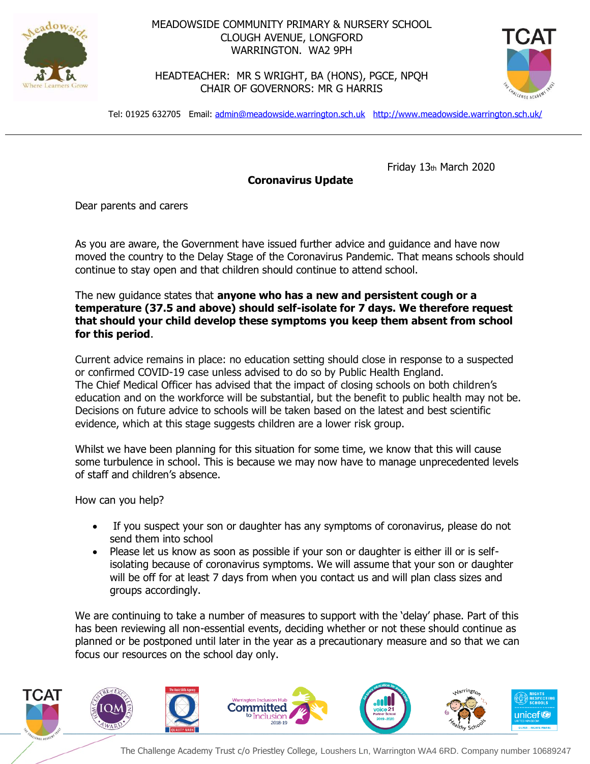

## MEADOWSIDE COMMUNITY PRIMARY & NURSERY SCHOOL CLOUGH AVENUE, LONGFORD WARRINGTON. WA2 9PH

HEADTEACHER: MR S WRIGHT, BA (HONS), PGCE, NPQH CHAIR OF GOVERNORS: MR G HARRIS



Tel: 01925 632705 Email: [admin@meadowside.warrington.sch.uk](mailto:admin@meadowside.warrington.sch.uk) <http://www.meadowside.warrington.sch.uk/>

Friday 13th March 2020

**Coronavirus Update**

Dear parents and carers

As you are aware, the Government have issued further advice and guidance and have now moved the country to the Delay Stage of the Coronavirus Pandemic. That means schools should continue to stay open and that children should continue to attend school.

The new guidance states that **anyone who has a new and persistent cough or a temperature (37.5 and above) should self-isolate for 7 days. We therefore request that should your child develop these symptoms you keep them absent from school for this period**.

Current advice remains in place: no education setting should close in response to a suspected or confirmed COVID-19 case unless advised to do so by Public Health England. The Chief Medical Officer has advised that the impact of closing schools on both children's education and on the workforce will be substantial, but the benefit to public health may not be. Decisions on future advice to schools will be taken based on the latest and best scientific evidence, which at this stage suggests children are a lower risk group.

Whilst we have been planning for this situation for some time, we know that this will cause some turbulence in school. This is because we may now have to manage unprecedented levels of staff and children's absence.

How can you help?

- If you suspect your son or daughter has any symptoms of coronavirus, please do not send them into school
- Please let us know as soon as possible if your son or daughter is either ill or is selfisolating because of coronavirus symptoms. We will assume that your son or daughter will be off for at least 7 days from when you contact us and will plan class sizes and groups accordingly.

We are continuing to take a number of measures to support with the 'delay' phase. Part of this has been reviewing all non-essential events, deciding whether or not these should continue as planned or be postponed until later in the year as a precautionary measure and so that we can focus our resources on the school day only.



The Challenge Academy Trust c/o Priestley College, Loushers Ln, Warrington WA4 6RD. Company number 10689247